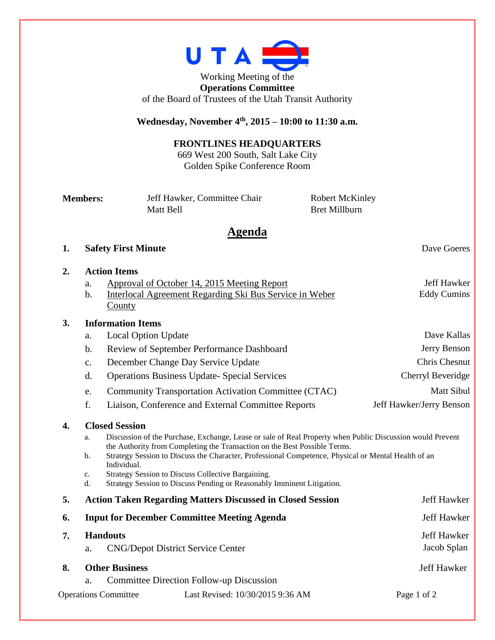

Working Meeting of the **Operations Committee** of the Board of Trustees of the Utah Transit Authority

### **Wednesday, November 4th , 2015 – 10:00 to 11:30 a.m.**

## **FRONTLINES HEADQUARTERS**

669 West 200 South, Salt Lake City Golden Spike Conference Room

| <b>Members:</b> | Jeff Hawker, Committee Chair | <b>Robert McKinley</b> |
|-----------------|------------------------------|------------------------|
|                 | Matt Bell                    | Bret Millburn          |

# **Agenda**

#### **1. Safety First Minute** Dave Goeres

#### **2. Action Items**

a. Approval of October 14, 2015 Meeting Report Jeff Hawker b. Interlocal Agreement Regarding Ski Bus Service in Weber **County** Eddy Cumins

#### **3. Information Items**

|                             | a.             | Local Option Update                                                                                                                                                                    | Dave Kallas              |  |
|-----------------------------|----------------|----------------------------------------------------------------------------------------------------------------------------------------------------------------------------------------|--------------------------|--|
|                             | b.             | Review of September Performance Dashboard                                                                                                                                              | Jerry Benson             |  |
|                             | $C_{\bullet}$  | December Change Day Service Update                                                                                                                                                     | Chris Chesnut            |  |
|                             | d.             | <b>Operations Business Update- Special Services</b>                                                                                                                                    | Cherryl Beveridge        |  |
|                             | e.             | Community Transportation Activation Committee (CTAC)                                                                                                                                   | Matt Sibul               |  |
|                             | f.             | Liaison, Conference and External Committee Reports                                                                                                                                     | Jeff Hawker/Jerry Benson |  |
| 4.                          |                | <b>Closed Session</b>                                                                                                                                                                  |                          |  |
|                             | a.             | Discussion of the Purchase, Exchange, Lease or sale of Real Property when Public Discussion would Prevent<br>the Authority from Completing the Transaction on the Best Possible Terms. |                          |  |
|                             | $\mathbf{b}$ . | Strategy Session to Discuss the Character, Professional Competence, Physical or Mental Health of an<br>Individual.                                                                     |                          |  |
|                             | c.<br>d.       | Strategy Session to Discuss Collective Bargaining.<br>Strategy Session to Discuss Pending or Reasonably Imminent Litigation.                                                           |                          |  |
| 5.                          |                | <b>Action Taken Regarding Matters Discussed in Closed Session</b>                                                                                                                      | <b>Jeff Hawker</b>       |  |
| 6.                          |                | <b>Input for December Committee Meeting Agenda</b>                                                                                                                                     | Jeff Hawker              |  |
| 7.                          |                | <b>Handouts</b>                                                                                                                                                                        | <b>Jeff Hawker</b>       |  |
|                             | a.             | <b>CNG/Depot District Service Center</b>                                                                                                                                               | Jacob Splan              |  |
| 8.                          |                | <b>Other Business</b>                                                                                                                                                                  | Jeff Hawker              |  |
|                             | a.             | Committee Direction Follow-up Discussion                                                                                                                                               |                          |  |
| <b>Operations Committee</b> |                | Last Revised: 10/30/2015 9:36 AM                                                                                                                                                       | Page 1 of 2              |  |
|                             |                |                                                                                                                                                                                        |                          |  |